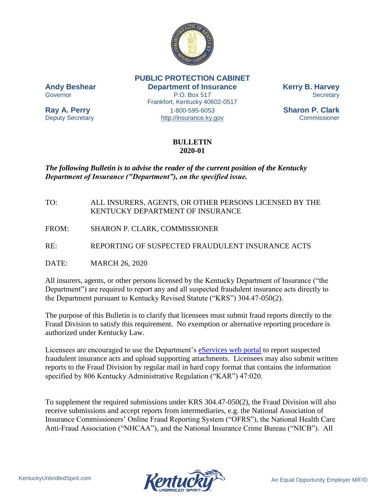

**PUBLIC PROTECTION CABINET Andy Beshear Department of Insurance Kerry B. Harvey** Governor **P.O. Box 517** Secretary Frankfort, Kentucky 40602-0517 **Ray A. Perry** 1-800-595-6053 **Sharon P. Clark** Deputy Secretary [http://insurance.ky.gov](http://insurance.ky.gov/) Commissioner

## **BULLETIN 2020-01**

## *The following Bulletin is to advise the reader of the current position of the Kentucky Department of Insurance ("Department"), on the specified issue.*

- TO: ALL INSURERS, AGENTS, OR OTHER PERSONS LICENSED BY THE KENTUCKY DEPARTMENT OF INSURANCE
- FROM: SHARON P. CLARK, COMMISSIONER
- RE: REPORTING OF SUSPECTED FRAUDULENT INSURANCE ACTS

DATE: MARCH 26, 2020

All insurers, agents, or other persons licensed by the Kentucky Department of Insurance ("the Department") are required to report any and all suspected fraudulent insurance acts directly to the Department pursuant to Kentucky Revised Statute ("KRS") 304.47-050(2).

The purpose of this Bulletin is to clarify that licensees must submit fraud reports directly to the Fraud Division to satisfy this requirement. No exemption or alternative reporting procedure is authorized under Kentucky Law.

Licensees are encouraged to use the Department's [eServices web portal](https://insurance.ky.gov/doieservices/UserRole.aspx) to report suspected fraudulent insurance acts and upload supporting attachments. Licensees may also submit written reports to the Fraud Division by regular mail in hard copy format that contains the information specified by 806 Kentucky Administrative Regulation ("KAR") 47:020.

To supplement the required submissions under KRS 304.47-050(2), the Fraud Division will also receive submissions and accept reports from intermediaries, e.g. the National Association of Insurance Commissioners' Online Fraud Reporting System ("OFRS"), the National Health Care Anti-Fraud Association ("NHCAA"), and the National Insurance Crime Bureau ("NICB"). All